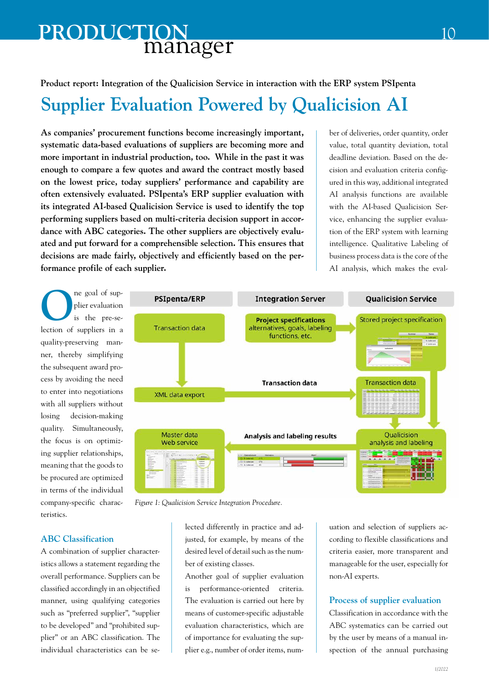## manager **PRODUCTION**

#### **Product report: Integration of the Qualicision Service in interaction with the ERP system PSIpenta**

# **Supplier Evaluation Powered by Qualicision AI**

**As companies' procurement functions become increasingly important, systematic data-based evaluations of suppliers are becoming more and more important in industrial production, too. While in the past it was enough to compare a few quotes and award the contract mostly based on the lowest price, today suppliers' performance and capability are often extensively evaluated. PSIpenta's ERP supplier evaluation with its integrated AI-based Qualicision Service is used to identify the top performing suppliers based on multi-criteria decision support in accordance with ABC categories. The other suppliers are objectively evaluated and put forward for a comprehensible selection. This ensures that decisions are made fairly, objectively and efficiently based on the performance profile of each supplier.** 

ber of deliveries, order quantity, order value, total quantity deviation, total deadline deviation. Based on the decision and evaluation criteria configured in this way, additional integrated AI analysis functions are available with the AI-based Qualicision Service, enhancing the supplier evaluation of the ERP system with learning intelligence. Qualitative Labeling of business process data is the core of the AI analysis, which makes the eval-

The goal of sup-<br>plier evaluation<br>is the pre-seplier evaluation is the pre-selection of suppliers in a quality-preserving manner, thereby simplifying the subsequent award process by avoiding the need to enter into negotiations with all suppliers without losing decision-making quality. Simultaneously, the focus is on optimizing supplier relationships, meaning that the goods to be procured are optimized in terms of the individual company-specific characteristics.



*Figure 1: Qualicision Service Integration Procedure.*

lected differently in practice and adjusted, for example, by means of the desired level of detail such as the number of existing classes.

Another goal of supplier evaluation is performance-oriented criteria. The evaluation is carried out here by means of customer-specific adjustable evaluation characteristics, which are of importance for evaluating the supplier e.g., number of order items, numuation and selection of suppliers according to flexible classifications and criteria easier, more transparent and manageable for the user, especially for non-AI experts.

#### **Process of supplier evaluation**

Classification in accordance with the ABC systematics can be carried out by the user by means of a manual inspection of the annual purchasing

### **ABC Classification**

A combination of supplier characteristics allows a statement regarding the overall performance. Suppliers can be classified accordingly in an objectified manner, using qualifying categories such as "preferred supplier", "supplier to be developed" and "prohibited supplier" or an ABC classification. The individual characteristics can be se-